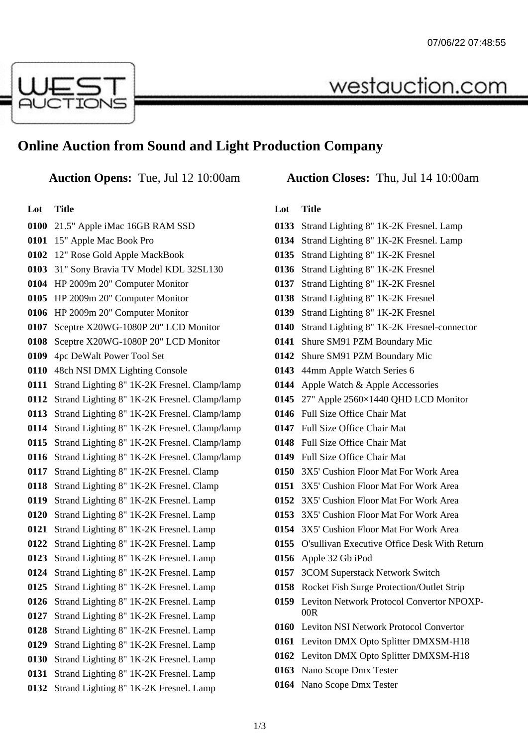

## **Online Auction from Sound and Light Production Company**

| Lot  | <b>Title</b>                                 |
|------|----------------------------------------------|
| 0100 | 21.5" Apple iMac 16GB RAM SSD                |
| 0101 | 15" Apple Mac Book Pro                       |
| 0102 | 12" Rose Gold Apple MackBook                 |
| 0103 | 31" Sony Bravia TV Model KDL 32SL130         |
| 0104 | HP 2009m 20" Computer Monitor                |
| 0105 | HP 2009m 20" Computer Monitor                |
| 0106 | HP 2009m 20" Computer Monitor                |
| 0107 | Sceptre X20WG-1080P 20" LCD Monitor          |
| 0108 | Sceptre X20WG-1080P 20" LCD Monitor          |
| 0109 | 4pc DeWalt Power Tool Set                    |
| 0110 | 48ch NSI DMX Lighting Console                |
| 0111 | Strand Lighting 8" 1K-2K Fresnel. Clamp/lamp |
| 0112 | Strand Lighting 8" 1K-2K Fresnel. Clamp/lamp |
| 0113 | Strand Lighting 8" 1K-2K Fresnel. Clamp/lamp |
| 0114 | Strand Lighting 8" 1K-2K Fresnel. Clamp/lamp |
| 0115 | Strand Lighting 8" 1K-2K Fresnel. Clamp/lamp |
| 0116 | Strand Lighting 8" 1K-2K Fresnel. Clamp/lamp |
| 0117 | Strand Lighting 8" 1K-2K Fresnel. Clamp      |
| 0118 | Strand Lighting 8" 1K-2K Fresnel. Clamp      |
| 0119 | Strand Lighting 8" 1K-2K Fresnel. Lamp       |
| 0120 | Strand Lighting 8" 1K-2K Fresnel. Lamp       |
| 0121 | Strand Lighting 8" 1K-2K Fresnel. Lamp       |
| 0122 | Strand Lighting 8" 1K-2K Fresnel. Lamp       |
| 0123 | Strand Lighting 8" 1K-2K Fresnel. Lamp       |
| 0124 | Strand Lighting 8" 1K-2K Fresnel. Lamp       |
| 0125 | Strand Lighting 8" 1K-2K Fresnel. Lamp       |
| 0126 | Strand Lighting 8" 1K-2K Fresnel. Lamp       |
| 0127 | Strand Lighting 8" 1K-2K Fresnel. Lamp       |
| 0128 | Strand Lighting 8" 1K-2K Fresnel. Lamp       |
| 0129 | Strand Lighting 8" 1K-2K Fresnel. Lamp       |
| 0130 | Strand Lighting 8" 1K-2K Fresnel. Lamp       |
| 0131 | Strand Lighting 8" 1K-2K Fresnel. Lamp       |
| 0132 | Strand Lighting 8" 1K-2K Fresnel. Lamp       |
|      |                                              |

### **Auction Opens:** Tue, Jul 12 10:00am **Auction Closes:** Thu, Jul 14 10:00am

westauction.com

#### **Lot Title**

- Strand Lighting 8" 1K-2K Fresnel. Lamp
- Strand Lighting 8" 1K-2K Fresnel. Lamp
- Strand Lighting 8" 1K-2K Fresnel
- Strand Lighting 8" 1K-2K Fresnel
- Strand Lighting 8" 1K-2K Fresnel
- Strand Lighting 8" 1K-2K Fresnel
- Strand Lighting 8" 1K-2K Fresnel
- Strand Lighting 8" 1K-2K Fresnel-connector
- Shure SM91 PZM Boundary Mic
- Shure SM91 PZM Boundary Mic
- 44mm Apple Watch Series 6
- Apple Watch & Apple Accessories
- 27" Apple 2560×1440 QHD LCD Monitor
- Full Size Office Chair Mat
- Full Size Office Chair Mat
- Full Size Office Chair Mat
- Full Size Office Chair Mat
- 3X5' Cushion Floor Mat For Work Area
- 3X5' Cushion Floor Mat For Work Area
- 3X5' Cushion Floor Mat For Work Area
- 3X5' Cushion Floor Mat For Work Area
- 3X5' Cushion Floor Mat For Work Area
- O'sullivan Executive Office Desk With Return
- Apple 32 Gb iPod
- 3COM Superstack Network Switch
- Rocket Fish Surge Protection/Outlet Strip
- Leviton Network Protocol Convertor NPOXP- $00R$
- Leviton NSI Network Protocol Convertor
- Leviton DMX Opto Splitter DMXSM-H18
- Leviton DMX Opto Splitter DMXSM-H18
- Nano Scope Dmx Tester
- Nano Scope Dmx Tester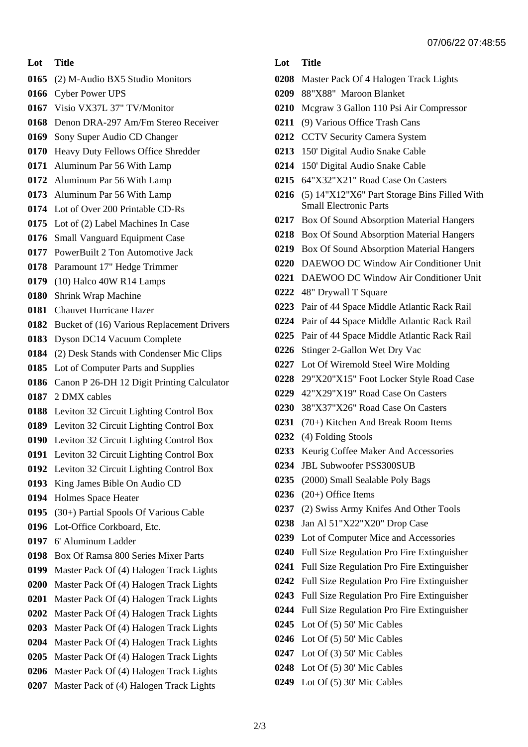#### **Lot Title**

- (2) M-Audio BX5 Studio Monitors
- Cyber Power UPS
- Visio VX37L 37" TV/Monitor
- Denon DRA-297 Am/Fm Stereo Receiver
- Sony Super Audio CD Changer
- Heavy Duty Fellows Office Shredder
- Aluminum Par 56 With Lamp
- Aluminum Par 56 With Lamp
- Aluminum Par 56 With Lamp
- Lot of Over 200 Printable CD-Rs
- Lot of (2) Label Machines In Case
- Small Vanguard Equipment Case
- PowerBuilt 2 Ton Automotive Jack
- Paramount 17" Hedge Trimmer
- (10) Halco 40W R14 Lamps
- Shrink Wrap Machine
- Chauvet Hurricane Hazer
- Bucket of (16) Various Replacement Drivers
- Dyson DC14 Vacuum Complete
- (2) Desk Stands with Condenser Mic Clips
- Lot of Computer Parts and Supplies
- Canon P 26-DH 12 Digit Printing Calculator
- 2 DMX cables
- Leviton 32 Circuit Lighting Control Box
- Leviton 32 Circuit Lighting Control Box
- Leviton 32 Circuit Lighting Control Box
- Leviton 32 Circuit Lighting Control Box
- Leviton 32 Circuit Lighting Control Box
- King James Bible On Audio CD
- Holmes Space Heater
- (30+) Partial Spools Of Various Cable
- Lot-Office Corkboard, Etc.
- 6' Aluminum Ladder
- Box Of Ramsa 800 Series Mixer Parts
- Master Pack Of (4) Halogen Track Lights
- Master Pack Of (4) Halogen Track Lights
- Master Pack Of (4) Halogen Track Lights
- Master Pack Of (4) Halogen Track Lights
- Master Pack Of (4) Halogen Track Lights
- Master Pack Of (4) Halogen Track Lights Master Pack Of (4) Halogen Track Lights
- Master Pack Of (4) Halogen Track Lights
- Master Pack of (4) Halogen Track Lights
- **Lot Title**
- Master Pack Of 4 Halogen Track Lights
- 88"X88" Maroon Blanket
- Mcgraw 3 Gallon 110 Psi Air Compressor
- (9) Various Office Trash Cans
- CCTV Security Camera System
- 150' Digital Audio Snake Cable
- 150' Digital Audio Snake Cable
- 64"X32"X21" Road Case On Casters
- (5) 14"X12"X6" Part Storage Bins Filled With Small Electronic Parts
- Box Of Sound Absorption Material Hangers
- Box Of Sound Absorption Material Hangers
- Box Of Sound Absorption Material Hangers
- DAEWOO DC Window Air Conditioner Unit
- DAEWOO DC Window Air Conditioner Unit
- 48" Drywall T Square
- Pair of 44 Space Middle Atlantic Rack Rail
- Pair of 44 Space Middle Atlantic Rack Rail
- Pair of 44 Space Middle Atlantic Rack Rail
- Stinger 2-Gallon Wet Dry Vac
- Lot Of Wiremold Steel Wire Molding
- 29"X20"X15" Foot Locker Style Road Case
- 42"X29"X19" Road Case On Casters
- 38"X37"X26" Road Case On Casters
- (70+) Kitchen And Break Room Items
- (4) Folding Stools
- Keurig Coffee Maker And Accessories
- JBL Subwoofer PSS300SUB
- (2000) Small Sealable Poly Bags
- (20+) Office Items
- (2) Swiss Army Knifes And Other Tools
- Jan Al 51"X22"X20" Drop Case
- Lot of Computer Mice and Accessories
- Full Size Regulation Pro Fire Extinguisher
- Full Size Regulation Pro Fire Extinguisher
- Full Size Regulation Pro Fire Extinguisher
- Full Size Regulation Pro Fire Extinguisher
- Full Size Regulation Pro Fire Extinguisher
- Lot Of (5) 50' Mic Cables
- Lot Of (5) 50' Mic Cables
- Lot Of (3) 50' Mic Cables
- Lot Of (5) 30' Mic Cables
- Lot Of (5) 30' Mic Cables